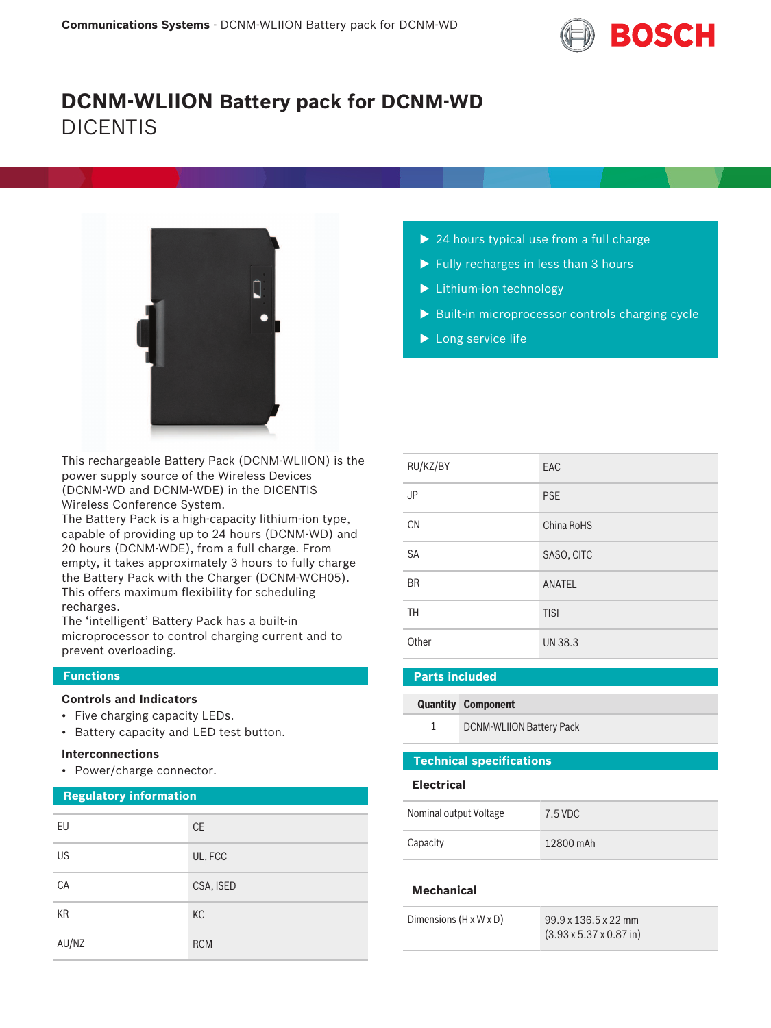

# **DCNM-WLIION Battery pack for DCNM-WD** DICENTIS



This rechargeable Battery Pack (DCNM‑WLIION) is the power supply source of the Wireless Devices (DCNM‑WD and DCNM‑WDE) in the DICENTIS Wireless Conference System.

The Battery Pack is a high-capacity lithium-ion type, capable of providing up to 24 hours (DCNM‑WD) and 20 hours (DCNM‑WDE), from a full charge. From empty, it takes approximately 3 hours to fully charge the Battery Pack with the Charger (DCNM‑WCH05). This offers maximum flexibility for scheduling recharges.

The 'intelligent' Battery Pack has a built-in microprocessor to control charging current and to prevent overloading.

### **Functions**

#### **Controls and Indicators**

- Five charging capacity LEDs.
- Battery capacity and LED test button.

#### **Interconnections**

• Power/charge connector.

#### **Regulatory information**

| EU        | CE         |
|-----------|------------|
| <b>US</b> | UL, FCC    |
| CA        | CSA, ISED  |
| <b>KR</b> | KC         |
| AU/NZ     | <b>RCM</b> |

- $\triangleright$  24 hours typical use from a full charge
- $\blacktriangleright$  Fully recharges in less than 3 hours
- $\blacktriangleright$  Lithium-ion technology
- $\blacktriangleright$  Built-in microprocessor controls charging cycle
- $\blacktriangleright$  Long service life

| RU/KZ/BY  | EAC            |
|-----------|----------------|
| <b>JP</b> | <b>PSE</b>     |
| <b>CN</b> | China RoHS     |
| <b>SA</b> | SASO, CITC     |
| <b>BR</b> | <b>ANATEL</b>  |
| <b>TH</b> | <b>TISI</b>    |
| Other     | <b>UN 38.3</b> |

### **Parts included**

#### **Quantity Component**

1 DCNM‑WLIION Battery Pack

## **Technical specifications**

#### **Electrical**

| Nominal output Voltage | 7.5 VDC   |
|------------------------|-----------|
| Capacity               | 12800 mAh |

#### **Mechanical**

| Dimensions $(H \times W \times D)$ | $99.9 \times 136.5 \times 22$ mm<br>$(3.93 \times 5.37 \times 0.87)$ in |
|------------------------------------|-------------------------------------------------------------------------|
|                                    |                                                                         |